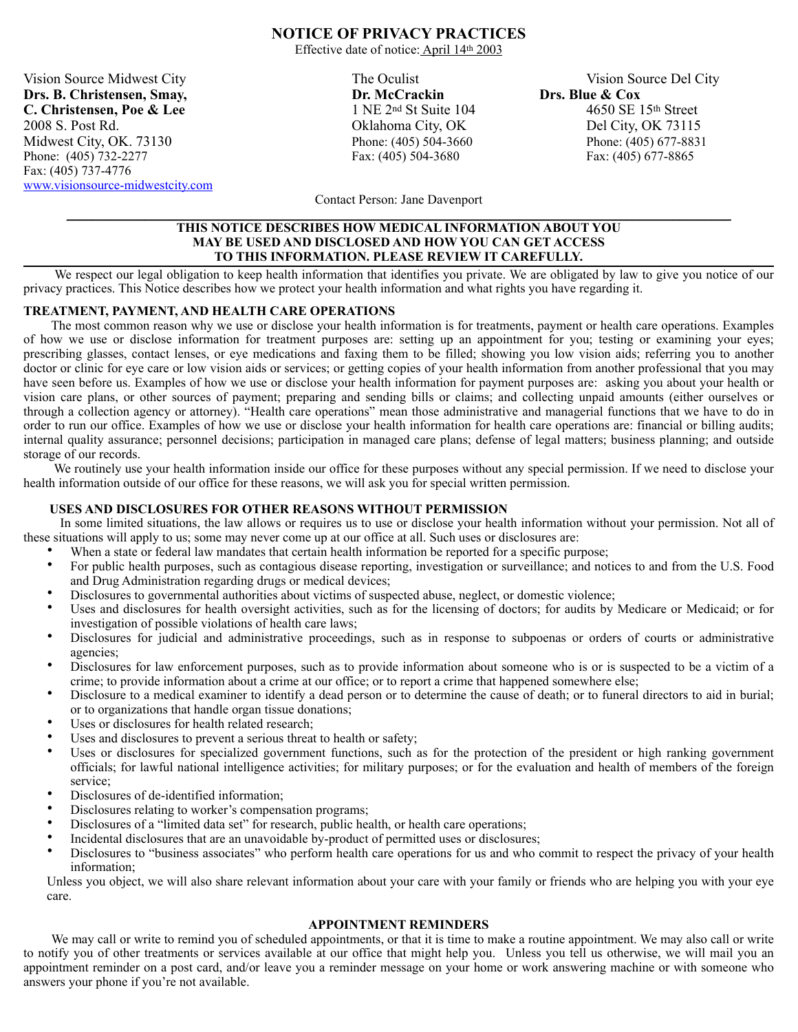# **NOTICE OF PRIVACY PRACTICES**

Effective date of notice: April 14th 2003

Vision Source Midwest City The Oculist The Oculist Vision Source Del City **Drs. B. Christensen, Smay, Dr. McCrackin Drs. Blue & Cox C. Christensen, Poe & Lee** 1 NE 2<sup>nd</sup> St Suite 104 4650 SE 15<sup>th</sup> Street 2008 S. Post Rd. Oklahoma City, OK Del City, OK 73115 Midwest City, OK. 73130 Phone: (405) 504-3660 Phone: (405) 677-8831 Phone: (405) 732-2277 Fax: (405) 504-3680 Fax: (405) 677-8865 Fax: (405) 737-4776 [www.visionsource-midwestcity.com](http://www.visionsource-midwestcity.com/)

Contact Person: Jane Davenport \_\_\_\_\_\_\_\_\_\_\_\_\_\_\_\_\_\_\_\_\_\_\_\_\_\_\_\_\_\_\_\_\_\_\_\_\_\_\_\_\_\_\_\_\_\_\_\_\_\_\_\_\_\_\_\_\_\_\_\_\_\_\_\_\_\_\_\_\_\_\_\_\_\_\_\_\_\_\_\_\_\_\_\_\_\_\_\_\_\_\_\_\_\_\_\_\_\_\_\_\_\_

## **THIS NOTICE DESCRIBES HOW MEDICAL INFORMATION ABOUT YOU MAY BE USED AND DISCLOSED AND HOW YOU CAN GET ACCESS TO THIS INFORMATION. PLEASE REVIEW IT CAREFULLY.**

We respect our legal obligation to keep health information that identifies you private. We are obligated by law to give you notice of our privacy practices. This Notice describes how we protect your health information and what rights you have regarding it.

# **TREATMENT, PAYMENT, AND HEALTH CARE OPERATIONS**

 The most common reason why we use or disclose your health information is for treatments, payment or health care operations. Examples of how we use or disclose information for treatment purposes are: setting up an appointment for you; testing or examining your eyes; prescribing glasses, contact lenses, or eye medications and faxing them to be filled; showing you low vision aids; referring you to another doctor or clinic for eye care or low vision aids or services; or getting copies of your health information from another professional that you may have seen before us. Examples of how we use or disclose your health information for payment purposes are: asking you about your health or vision care plans, or other sources of payment; preparing and sending bills or claims; and collecting unpaid amounts (either ourselves or through a collection agency or attorney). "Health care operations" mean those administrative and managerial functions that we have to do in order to run our office. Examples of how we use or disclose your health information for health care operations are: financial or billing audits; internal quality assurance; personnel decisions; participation in managed care plans; defense of legal matters; business planning; and outside storage of our records.

 We routinely use your health information inside our office for these purposes without any special permission. If we need to disclose your health information outside of our office for these reasons, we will ask you for special written permission.

# **USES AND DISCLOSURES FOR OTHER REASONS WITHOUT PERMISSION**

In some limited situations, the law allows or requires us to use or disclose your health information without your permission. Not all of these situations will apply to us; some may never come up at our office at all. Such uses or disclosures are:

- When a state or federal law mandates that certain health information be reported for a specific purpose;<br>• For public health purposes, such as contagious disease reporting investigation or surveillance; and not
- For public health purposes, such as contagious disease reporting, investigation or surveillance; and notices to and from the U.S. Food and Drug Administration regarding drugs or medical devices;
- Disclosures to governmental authorities about victims of suspected abuse, neglect, or domestic violence;
- Uses and disclosures for health oversight activities, such as for the licensing of doctors; for audits by Medicare or Medicaid; or for investigation of possible violations of health care laws;
- Disclosures for judicial and administrative proceedings, such as in response to subpoenas or orders of courts or administrative agencies;
- Disclosures for law enforcement purposes, such as to provide information about someone who is or is suspected to be a victim of a crime; to provide information about a crime at our office; or to report a crime that happened somewhere else;
- Disclosure to a medical examiner to identify a dead person or to determine the cause of death; or to funeral directors to aid in burial; or to organizations that handle organ tissue donations;
- Uses or disclosures for health related research;
- Uses and disclosures to prevent a serious threat to health or safety;
- Uses or disclosures for specialized government functions, such as for the protection of the president or high ranking government officials; for lawful national intelligence activities; for military purposes; or for the evaluation and health of members of the foreign service;
- Disclosures of de-identified information;
- Disclosures relating to worker's compensation programs;
- Disclosures of a "limited data set" for research, public health, or health care operations;
- Incidental disclosures that are an unavoidable by-product of permitted uses or disclosures;
- Disclosures to "business associates" who perform health care operations for us and who commit to respect the privacy of your health information;

Unless you object, we will also share relevant information about your care with your family or friends who are helping you with your eye care.

### **APPOINTMENT REMINDERS**

We may call or write to remind you of scheduled appointments, or that it is time to make a routine appointment. We may also call or write to notify you of other treatments or services available at our office that might help you. Unless you tell us otherwise, we will mail you an appointment reminder on a post card, and/or leave you a reminder message on your home or work answering machine or with someone who answers your phone if you're not available.